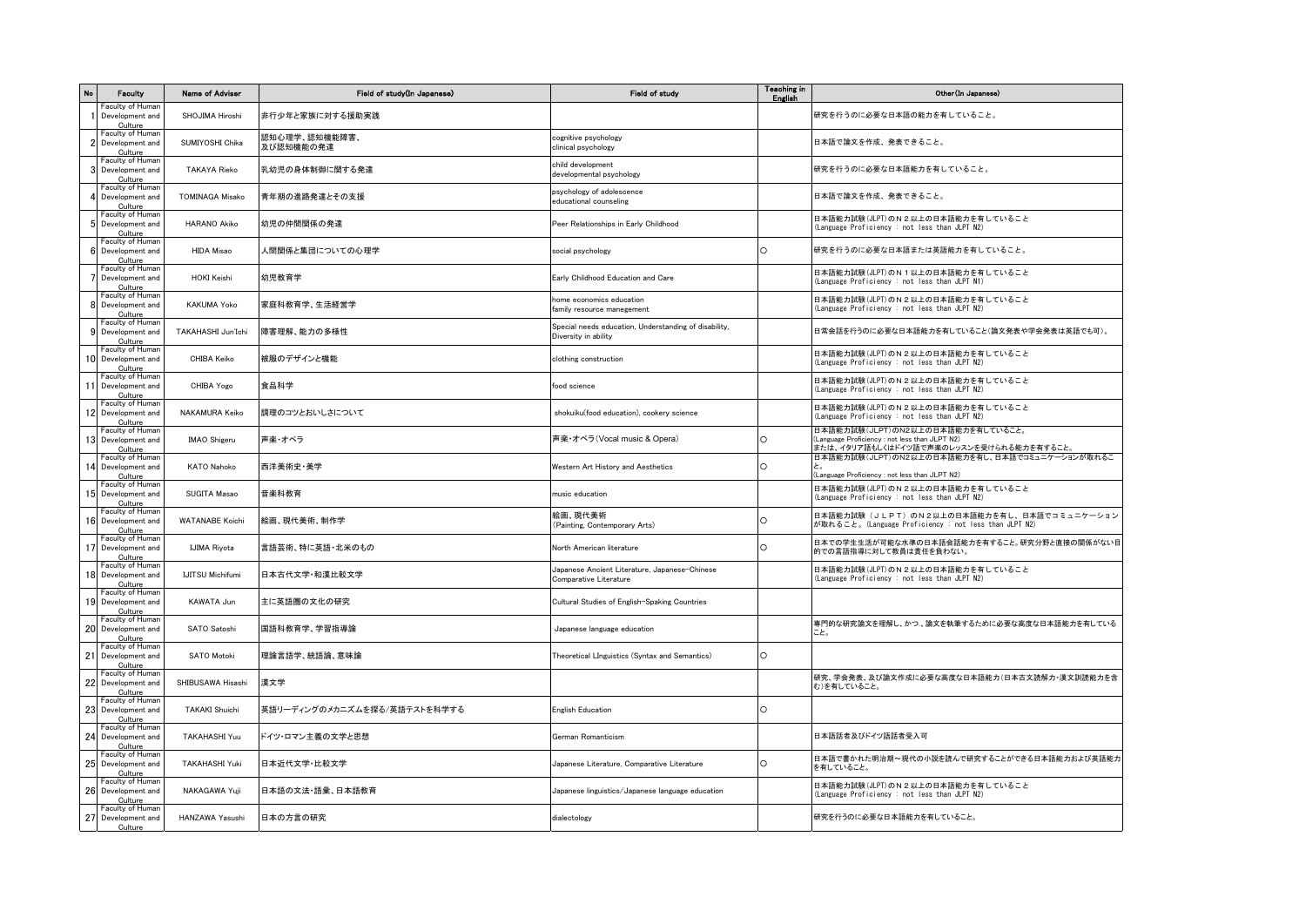| No | Faculty                                           | Name of Adviser         | Field of study(In Japanese)  | <b>Field of study</b>                                                         | <b>Teaching in</b><br>English | Other (In Japanese)                                                                                                             |
|----|---------------------------------------------------|-------------------------|------------------------------|-------------------------------------------------------------------------------|-------------------------------|---------------------------------------------------------------------------------------------------------------------------------|
| 1  | Faculty of Human<br>Development and<br>Culture    | SHOJIMA Hiroshi         | 非行少年と家族に対する援助実践              |                                                                               |                               | 研究を行うのに必要な日本語の能力を有していること。                                                                                                       |
|    | Faculty of Human<br>Development and<br>Culture    | SUMIYOSHI Chika         | 認知心理学、認知機能障害、<br>及び認知機能の発達   | cognitive psychology<br>clinical psychology                                   |                               | 日本語で論文を作成、発表できること。                                                                                                              |
| 3  | Faculty of Human<br>Development and<br>Culture    | <b>TAKAYA Rieko</b>     | 乳幼児の身体制御に関する発達               | child development<br>developmental psychology                                 |                               | 研究を行うのに必要な日本語能力を有していること。                                                                                                        |
|    | Faculty of Human<br>Development and<br>Culture    | <b>TOMINAGA Misako</b>  | 青年期の進路発達とその支援                | psychology of adolescence<br>educational counseling                           |                               | 日本語で論文を作成、発表できること。                                                                                                              |
| 5  | Faculty of Human<br>Development and<br>Culture    | <b>HARANO Akiko</b>     | 幼児の仲間関係の発達                   | Peer Relationships in Early Childhood                                         |                               | 日本語能力試験(JLPT)のN2以上の日本語能力を有していること<br>(Language Proficiency : not less than JLPT N2)                                              |
| 6  | Faculty of Human<br>Development and<br>Culture    | <b>HIDA Misao</b>       | 人間関係と集団についての心理学              | social psychology                                                             | $\Omega$                      | 研究を行うのに必要な日本語または英語能力を有していること。                                                                                                   |
|    | Faculty of Human<br>Development and<br>Culture    | <b>HOKI Keishi</b>      | 幼児教育学                        | Early Childhood Education and Care                                            |                               | 日本語能力試験(JLPT)のN1以上の日本語能力を有していること<br>(Language Proficiency : not less than JLPT N1)                                              |
| 8  | Faculty of Human<br>Development and<br>Culture    | <b>KAKUMA Yoko</b>      | 家庭科教育学、生活経営学                 | home economics education<br>family resource manegement                        |                               | 日本語能力試験(JLPT)のN2以上の日本語能力を有していること<br>(Language Proficiency : not less than JLPT N2)                                              |
| 9  | Faculty of Human<br>Development and<br>Culture    | TAKAHASHI Jun'Ichi      | 障害理解、能力の多様性                  | Special needs education, Understanding of disability,<br>Diversity in ability |                               | 日常会話を行うのに必要な日本語能力を有していること(論文発表や学会発表は英語でも可)。                                                                                     |
|    | Faculty of Human<br>10 Development and<br>Culture | CHIBA Keiko             | 被服のデザインと機能                   | clothing construction                                                         |                               | 日本語能力試験(JLPT)のN2以上の日本語能力を有していること<br>(Language Proficiency : not less than JLPT N2)                                              |
|    | Faculty of Human<br>11 Development and<br>Culture | CHIBA Yogo              | 食品科学                         | food science                                                                  |                               | 日本語能力試験(JLPT)のN2以上の日本語能力を有していること<br>(Language Proficiency : not less than JLPT N2)                                              |
|    | Faculty of Human<br>12 Development and<br>Culture | <b>NAKAMURA Keiko</b>   | 調理のコツとおいしさについて               | shokuiku(food education), cookery science                                     |                               | 日本語能力試験(JLPT)のN2以上の日本語能力を有していること<br>(Language Proficiency : not less than JLPT N2)                                              |
|    | Faculty of Human<br>13 Development and<br>Culture | <b>IMAO</b> Shigeru     | 声楽・オペラ                       | 声楽・オペラ(Vocal music & Opera)                                                   | O                             | 日本語能力試験(JLPT)のN2以上の日本語能力を有していること。<br>(Language Proficiency : not less than JLPT N2)<br>または、イタリア語もしくはドイツ語で声楽のレッスンを受けられる能力を有すること。 |
|    | Faculty of Human<br>14 Development and<br>Culture | <b>KATO Nahoko</b>      | 西洋美術史·美学                     | Western Art History and Aesthetics                                            | C                             | 日本語能力試験(JLPT)のN2以上の日本語能力を有し、日本語でコミュニケーションが取れるこ<br>(Language Proficiency : not less than JLPT N2)                                |
|    | Faculty of Human<br>15 Development and<br>Culture | SUGITA Masao            | 音楽科教育                        | music education                                                               |                               | 日本語能力試験(JLPT)のN2以上の日本語能力を有していること<br>(Language Proficiency : not less than JLPT N2)                                              |
|    | Faculty of Human<br>16 Development and<br>Culture | <b>WATANABE Koichi</b>  | 絵画、現代美術、制作学                  | 絵画、現代美術<br>(Painting, Contemporary Arts)                                      | O                             | 日本語能力試験(JLPT)のN2以上の日本語能力を有し、日本語でコミュニケーション<br>が取れること。(Language Proficiency : not less than JLPT N2)                              |
|    | Faculty of Human<br>17 Development and<br>Culture | <b>IJIMA Riyota</b>     | 言語芸術、特に英語・北米のもの              | North American literature                                                     |                               | 日本での学生生活が可能な水準の日本語会話能力を有すること。研究分野と直接の関係がない目<br>的での言語指導に対して教員は責任を負わない。                                                           |
|    | Faculty of Human<br>18 Development and<br>Culture | <b>IJITSU Michifumi</b> | 日本古代文学·和漢比較文学                | Japanese Ancient Literature, Japanese-Chinese<br>Comparative Literature       |                               | 日本語能力試験(JLPT)のN2以上の日本語能力を有していること<br>(Language Proficiency : not less than JLPT N2)                                              |
|    | Faculty of Human<br>19 Development and<br>Culture | KAWATA Jun              | 主に英語圏の文化の研究                  | Cultural Studies of English-Spaking Countries                                 |                               |                                                                                                                                 |
|    | Faculty of Human<br>20 Development and<br>Culture | SATO Satoshi            | 国語科教育学、学習指導論                 | Japanese language education                                                   |                               | 專門的な研究論文を理解し、かつ、論文を執筆するために必要な高度な日本語能力を有している<br>こと。                                                                              |
| 21 | Faculty of Human<br>Development and<br>Culture    | SATO Motoki             | 理論言語学、統語論、意味論                | Theoretical LInguistics (Syntax and Semantics)                                | O                             |                                                                                                                                 |
|    | Faculty of Human<br>22 Development and<br>Culture | SHIBUSAWA Hisashi       | 漢文学                          |                                                                               |                               | 研究、学会発表、及び論文作成に必要な高度な日本語能力(日本古文読解力・漢文訓読能力を含<br>む)を有していること。                                                                      |
|    | Faculty of Human<br>23 Development and<br>Culture | <b>TAKAKI Shuichi</b>   | 英語リーディングのメカニズムを探る/英語テストを科学する | <b>English Education</b>                                                      | O                             |                                                                                                                                 |
| 24 | Faculty of Human<br>Development and<br>Culture    | TAKAHASHI Yuu           | ドイツ・ロマン主義の文学と思想              | German Romanticism                                                            |                               | 日本語話者及びドイツ語話者受入可                                                                                                                |
|    | Faculty of Human<br>25 Development and<br>Culture | <b>TAKAHASHI Yuki</b>   | 日本近代文学·比較文学                  | Japanese Literature, Comparative Literature                                   | O                             | 日本語で書かれた明治期~現代の小説を読んで研究することができる日本語能力および英語能力<br>を有していること。                                                                        |
|    | Faculty of Human<br>26 Development and<br>Culture | NAKAGAWA Yuji           | 日本語の文法・語彙、日本語教育              | Japanese linguistics/Japanese language education                              |                               | 日本語能力試験(JLPT)のN2以上の日本語能力を有していること<br>(Language Proficiency : not less than JLPT N2)                                              |
| 27 | Faculty of Human<br>Development and<br>Culture    | HANZAWA Yasushi         | 日本の方言の研究                     | dialectology                                                                  |                               | 研究を行うのに必要な日本語能力を有していること。                                                                                                        |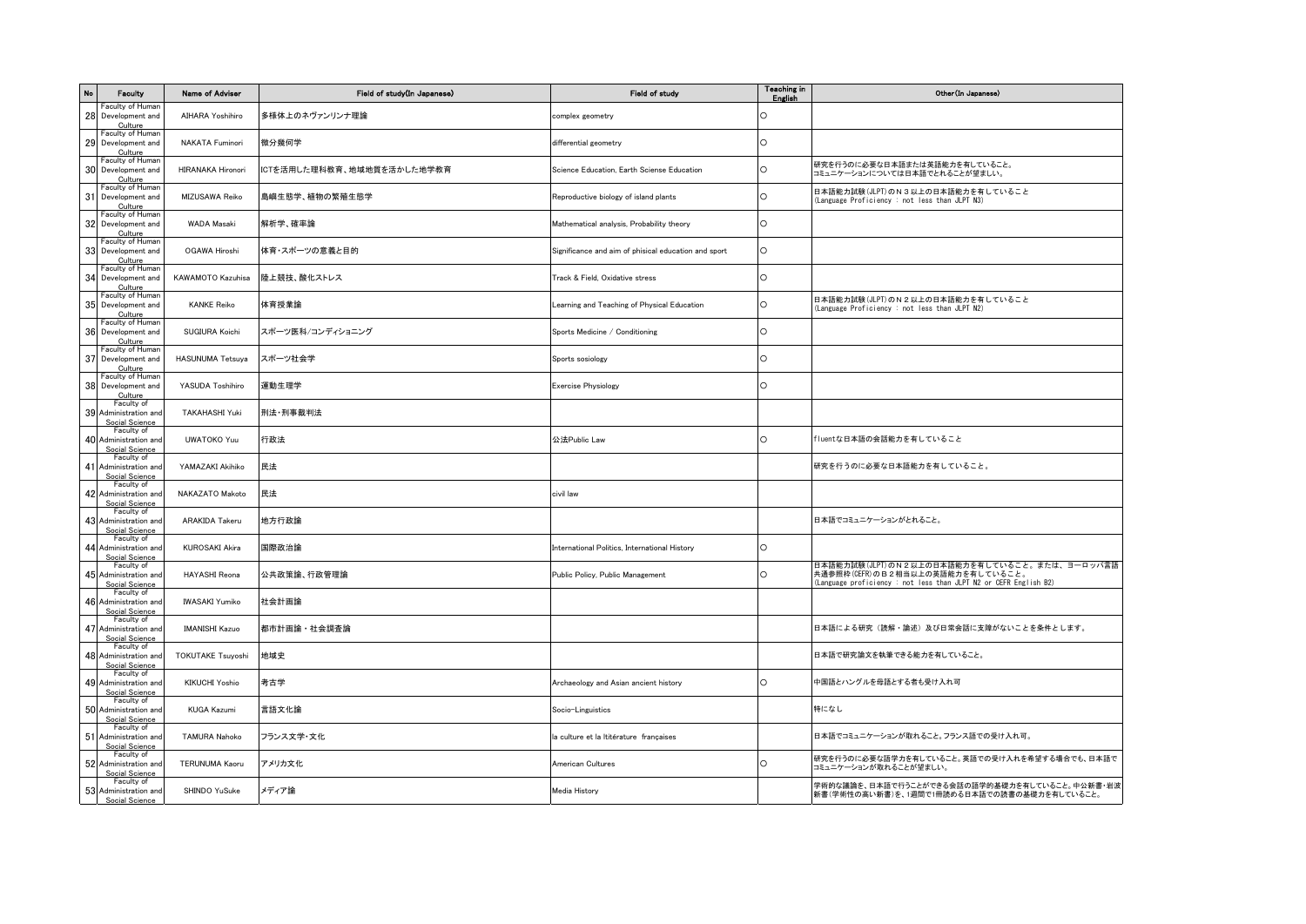| <b>No</b> | Faculty                                               | Name of Adviser          | Field of study(In Japanese) | Field of study                                       | <b>Teaching in</b><br>English | Other (In Japanese)                                                                                                                                   |
|-----------|-------------------------------------------------------|--------------------------|-----------------------------|------------------------------------------------------|-------------------------------|-------------------------------------------------------------------------------------------------------------------------------------------------------|
| 28        | Faculty of Humar<br>Development and<br>Culture        | AIHARA Yoshihiro         | 多様体上のネヴァンリンナ理論              | complex geometry                                     | $\circ$                       |                                                                                                                                                       |
| 29        | Faculty of Human<br>Development and<br>Culture        | NAKATA Fuminori          | 微分幾何学                       | differential geometry                                | $\circ$                       |                                                                                                                                                       |
|           | Faculty of Human<br>30 Development and<br>Culture     | <b>HIRANAKA Hironori</b> | ICTを活用した理科教育、地域地質を活かした地学教育  | Science Education, Earth Sciense Education           | $\circ$                       | 研究を行うのに必要な日本語または英語能力を有していること。<br>コミュニケーションについては日本語でとれることが望ましい。                                                                                        |
|           | Faculty of Human<br>31 Development and<br>Culture     | MIZUSAWA Reiko           | 島嶼生態学、植物の繁殖生態学              | Reproductive biology of island plants                | $\circ$                       | 日本語能力試験(JLPT)のN3以上の日本語能力を有していること<br>(Language Proficiency : not less than JLPT N3)                                                                    |
|           | Faculty of Human<br>32 Development and<br>Culture     | <b>WADA Masaki</b>       | 解析学、確率論                     | Mathematical analysis, Probability theory            | $\circ$                       |                                                                                                                                                       |
| 33        | Faculty of Human<br>Development and<br>Culture        | OGAWA Hiroshi            | 体育・スポーツの意義と目的               | Significance and aim of phisical education and sport | $\circ$                       |                                                                                                                                                       |
| 34        | Faculty of Human<br>Development and<br>Culture        | KAWAMOTO Kazuhisa        | 陸上競技、酸化ストレス                 | Track & Field, Oxidative stress                      | $\circ$                       |                                                                                                                                                       |
|           | Faculty of Human<br>35 Development and<br>Culture     | <b>KANKE Reiko</b>       | 体育授業論                       | Learning and Teaching of Physical Education          | $\circ$                       | 日本語能力試験(JLPT)のN2以上の日本語能力を有していること<br>Language Proficiency : not less than JLPT N2)                                                                     |
|           | Faculty of Human<br>36 Development and<br>Culture     | SUGIURA Koichi           | スポーツ医科/コンディショニング            | Sports Medicine / Conditioning                       | l O                           |                                                                                                                                                       |
| 37        | Faculty of Human<br>Development and<br>Culture        | <b>HASUNUMA Tetsuya</b>  | スポーツ社会学                     | Sports sosiology                                     | $\circ$                       |                                                                                                                                                       |
|           | Faculty of Human<br>38 Development and<br>Culture     | YASUDA Toshihiro         | 運動生理学                       | <b>Exercise Physiology</b>                           | $\circ$                       |                                                                                                                                                       |
|           | Faculty of<br>39 Administration and<br>Social Science | TAKAHASHI Yuki           | 刑法·刑事裁判法                    |                                                      |                               |                                                                                                                                                       |
|           | Faculty of<br>40 Administration and<br>Social Science | <b>UWATOKO Yuu</b>       | 行政法                         | 公法Public Law                                         | $\circ$                       | fluentな日本語の会話能力を有していること                                                                                                                               |
|           | Faculty of<br>41 Administration and<br>Social Science | YAMAZAKI Akihiko         | 民法                          |                                                      |                               | 研究を行うのに必要な日本語能力を有していること。                                                                                                                              |
|           | Faculty of<br>42 Administration and<br>Social Science | NAKAZATO Makoto          | 民法                          | civil law                                            |                               |                                                                                                                                                       |
|           | Faculty of<br>43 Administration and<br>Social Science | ARAKIDA Takeru           | 地方行政論                       |                                                      |                               | 日本語でコミュニケーションがとれること。                                                                                                                                  |
|           | Faculty of<br>44 Administration and<br>Social Science | <b>KUROSAKI Akira</b>    | 国際政治論                       | International Politics, International History        | $\circ$                       |                                                                                                                                                       |
|           | Faculty of<br>45 Administration and<br>Social Science | <b>HAYASHI Reona</b>     | 公共政策論、行政管理論                 | Public Policy, Public Management                     | $\circ$                       | 日本語能力試験(JLPT)のN2以上の日本語能力を有していること。または、ヨーロッパ言語<br>共通参照枠(CEFR)のB2相当以上の英語能力を有していること。<br>(Language proficiency : not less than JLPT N2 or CEFR English B2) |
|           | Faculty of<br>46 Administration and<br>Social Science | <b>IWASAKI Yumiko</b>    | 社会計画論                       |                                                      |                               |                                                                                                                                                       |
|           | Faculty of<br>47 Administration and<br>Social Science | <b>IMANISHI Kazuo</b>    | 都市計画論・社会調査論                 |                                                      |                               | 日本語による研究(読解・論述)及び日常会話に支障がないことを条件とします。                                                                                                                 |
|           | Faculty of<br>48 Administration and<br>Social Science | <b>TOKUTAKE Tsuyoshi</b> | 地域史                         |                                                      |                               | 日本語で研究論文を執筆できる能力を有していること。                                                                                                                             |
|           | Faculty of<br>49 Administration and<br>Social Science | <b>KIKUCHI Yoshio</b>    | 考古学                         | Archaeology and Asian ancient history                | $\circ$                       | 中国語とハングルを母語とする者も受け入れ可                                                                                                                                 |
|           | Faculty of<br>50 Administration and<br>Social Science | <b>KUGA Kazumi</b>       | 言語文化論                       | Socio-Linguistics                                    |                               | 特になし                                                                                                                                                  |
|           | Faculty of<br>51 Administration and<br>Social Science | <b>TAMURA Nahoko</b>     | フランス文学・文化                   | la culture et la Ititérature françaises              |                               | 日本語でコミュニケーションが取れること。フランス語での受け入れ可。                                                                                                                     |
|           | Faculty of<br>52 Administration and<br>Social Science | <b>TERUNUMA Kaoru</b>    | アメリカ文化                      | American Cultures                                    | $\circ$                       | 研究を行うのに必要な語学力を有していること。英語での受け入れを希望する場合でも、日本語で<br>コミュニケーションが取れることが望ましい。                                                                                 |
|           | Faculty of<br>53 Administration and<br>Social Science | SHINDO YuSuke            | メディア論                       | Media History                                        |                               | 学術的な議論を、日本語で行うことができる会話の語学的基礎力を有していること。中公新書・岩波<br> 新書(学術性の高い新書)を、1週間で1冊読める日本語での読書の基礎力を有していること。                                                         |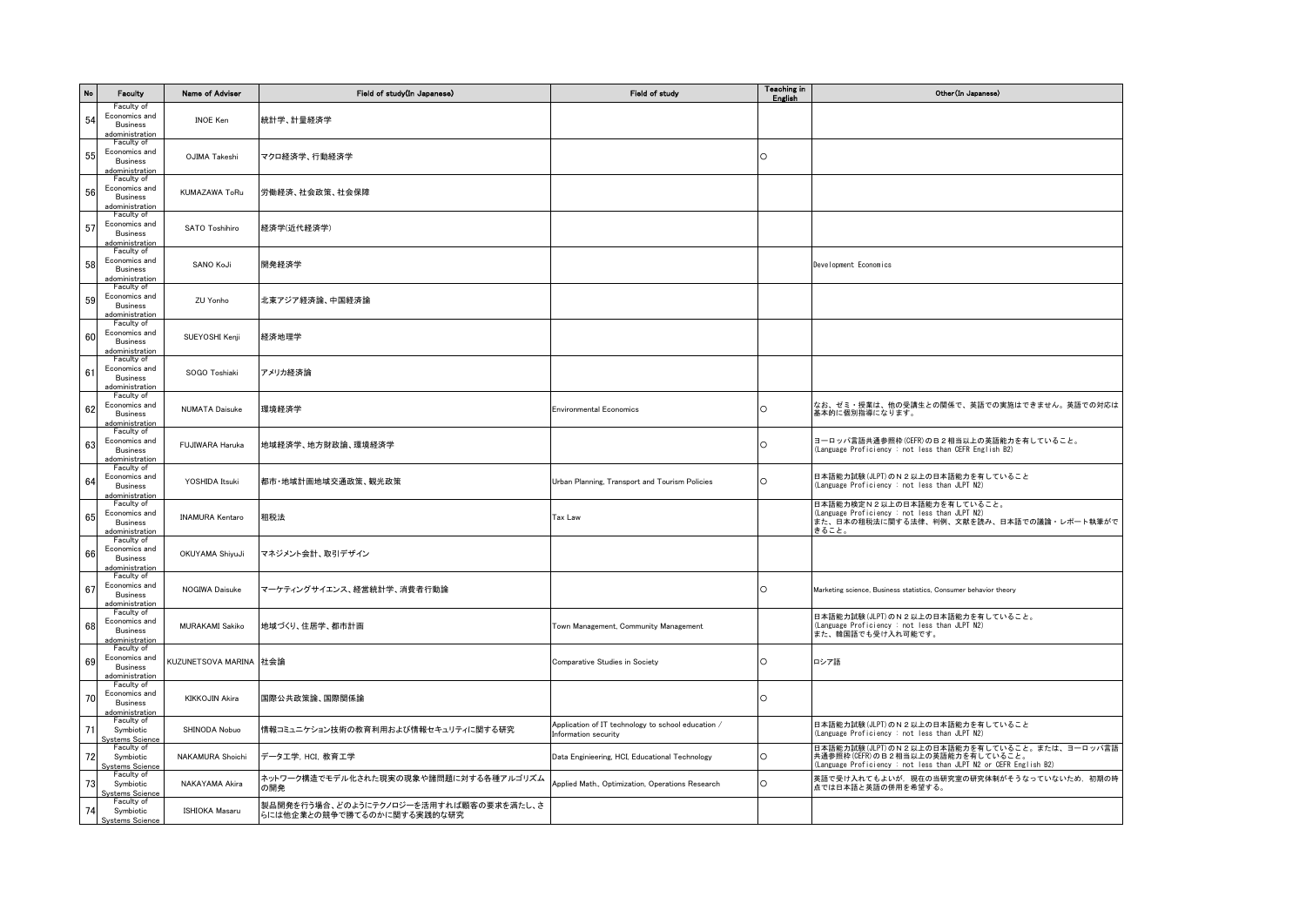| No | Faculty                                                                                | Name of Adviser        | Field of study(In Japanese)                                          | Field of study                                                             | Teaching in<br>English | Other (In Japanese)                                                                                                                                  |
|----|----------------------------------------------------------------------------------------|------------------------|----------------------------------------------------------------------|----------------------------------------------------------------------------|------------------------|------------------------------------------------------------------------------------------------------------------------------------------------------|
| 54 | Faculty of<br>Economics and<br><b>Business</b><br><u>adoministration</u><br>Faculty of | <b>INOE Ken</b>        | 統計学、計量経済学                                                            |                                                                            |                        |                                                                                                                                                      |
| 55 | Economics and<br><b>Business</b><br>adoministration                                    | OJIMA Takeshi          | マクロ経済学、行動経済学                                                         |                                                                            | $\circ$                |                                                                                                                                                      |
| 56 | Faculty of<br>Economics and<br><b>Business</b><br>adoministration                      | KUMAZAWA ToRu          | 労働経済、社会政策、社会保障                                                       |                                                                            |                        |                                                                                                                                                      |
| 57 | Faculty of<br>Economics and<br>Business<br>adoministration                             | SATO Toshihiro         | 経済学(近代経済学)                                                           |                                                                            |                        |                                                                                                                                                      |
| 58 | Faculty of<br>Economics and<br><b>Business</b><br>adoministration                      | SANO KoJi              | 開発経済学                                                                |                                                                            |                        | Development Economics                                                                                                                                |
| 59 | Faculty of<br>Economics and<br>Business<br>adoministration                             | ZU Yonho               | 北東アジア経済論、中国経済論                                                       |                                                                            |                        |                                                                                                                                                      |
| 60 | Faculty of<br>Economics and<br>Business<br>adoministration                             | SUEYOSHI Kenji         | 経済地理学                                                                |                                                                            |                        |                                                                                                                                                      |
| 61 | Faculty of<br>Economics and<br><b>Business</b><br>adoministration                      | SOGO Toshiaki          | アメリカ経済論                                                              |                                                                            |                        |                                                                                                                                                      |
| 62 | Faculty of<br>Economics and<br>Business<br>adoministration                             | <b>NUMATA Daisuke</b>  | 環境経済学                                                                | <b>Environmental Economics</b>                                             | $\circ$                | なお、ゼミ・授業は、他の受講生との関係で、英語での実施はできません。英語での対応は<br>基本的に個別指導になります。                                                                                          |
| 63 | Faculty of<br>Economics and<br><b>Business</b><br>adoministration                      | FUJIWARA Haruka        | 地域経済学、地方財政論、環境経済学                                                    |                                                                            | $\circ$                | ヨーロッパ言語共通参照枠(CEFR)のB2相当以上の英語能力を有していること。<br>Language Proficiency : not less than CEFR English B2)                                                     |
| 64 | Faculty of<br>Economics and<br><b>Business</b><br>adoministration                      | YOSHIDA Itsuki         | 都市·地域計画地域交通政策、観光政策                                                   | Urban Planning, Transport and Tourism Policies                             | $\circ$                | 日本語能力試験(JLPT)のN2以上の日本語能力を有していること<br>(Language Proficiency : not less than JLPT N2)                                                                   |
| 65 | Faculty of<br>Economics and<br><b>Business</b><br>adoministration                      | <b>INAMURA Kentaro</b> | 租税法                                                                  | Tax Law                                                                    |                        | 日本語能力検定N2以上の日本語能力を有していること。<br>(Language Proficiency : not less than JLPT N2)<br>また、日本の租税法に関する法律、判例、文献を読み、日本語での議論・レポート執筆がで<br>きること。                   |
| 66 | Faculty of<br>Economics and<br><b>Business</b><br>adoministration                      | OKUYAMA ShiyuJi        | マネジメント会計、取引デザイン                                                      |                                                                            |                        |                                                                                                                                                      |
| 67 | Faculty of<br>Economics and<br><b>Business</b><br>adoministration                      | NOGIWA Daisuke         | マーケティングサイエンス、経営統計学、消費者行動論                                            |                                                                            | $\circ$                | Marketing science, Business statistics, Consumer behavior theory                                                                                     |
| 68 | Faculty of<br>Economics and<br><b>Business</b><br>adoministration                      | <b>MURAKAMI Sakiko</b> | 地域づくり、住居学、都市計画                                                       | Town Management, Community Management                                      |                        | 日本語能力試験(JLPT)のN2以上の日本語能力を有していること。<br>(Language Proficiency : not less than JLPT N2)<br>また、韓国語でも受け入れ可能です。                                             |
| 69 | Faculty of<br>Economics and<br><b>Business</b><br>adoministration                      | KUZUNETSOVA MARINA     | 社会論                                                                  | Comparative Studies in Society                                             | $\circ$                | ロシア語                                                                                                                                                 |
| 70 | Faculty of<br>Economics and<br>Business<br>adoministration                             | KIKKOJIN Akira         | 国際公共政策論、国際関係論                                                        |                                                                            | $\circ$                |                                                                                                                                                      |
| 71 | Faculty of<br>Symbiotic<br><b>Systems Science</b>                                      | SHINODA Nobuo          | 情報コミュニケション技術の教育利用および情報セキュリティに関する研究                                   | Application of IT technology to school education /<br>Information security |                        | 日本語能力試験(JLPT)のN2以上の日本語能力を有していること<br>(Language Proficiency : not less than JLPT N2)                                                                   |
| 72 | Faculty of<br>Symbiotic<br>Systems Science                                             | NAKAMURA Shoichi       | データ工学, HCI, 教育工学                                                     | Data Enginieering, HCI, Educational Technology                             | $\circ$                | 日本語能力試験(JLPT)のN2以上の日本語能力を有していること。または、ヨーロッパ言語<br>共通参照枠(CEFR)のB2相当以上の英語能力を有していること。<br>Language Proficiency : not less than JLPT N2 or CEFR English B2) |
| 73 | Faculty of<br>Symbiotic<br><b>Systems Science</b>                                      | NAKAYAMA Akira         | ネットワーク構造でモデル化された現実の現象や諸問題に対する各種アルゴリズム<br>の開発                         | Applied Math., Optimization, Operations Research                           | $\circ$                | 英語で受け入れてもよいが、現在の当研究室の研究体制がそうなっていないため、初期の時<br>点では日本語と英語の併用を希望する。                                                                                      |
| 74 | Faculty of<br>Symbiotic<br><b>Systems Science</b>                                      | <b>ISHIOKA Masaru</b>  | 製品開発を行う場合、どのようにテクノロジーを活用すれば顧客の要求を満たし、さ<br>らには他企業との競争で勝てるのかに関する実践的な研究 |                                                                            |                        |                                                                                                                                                      |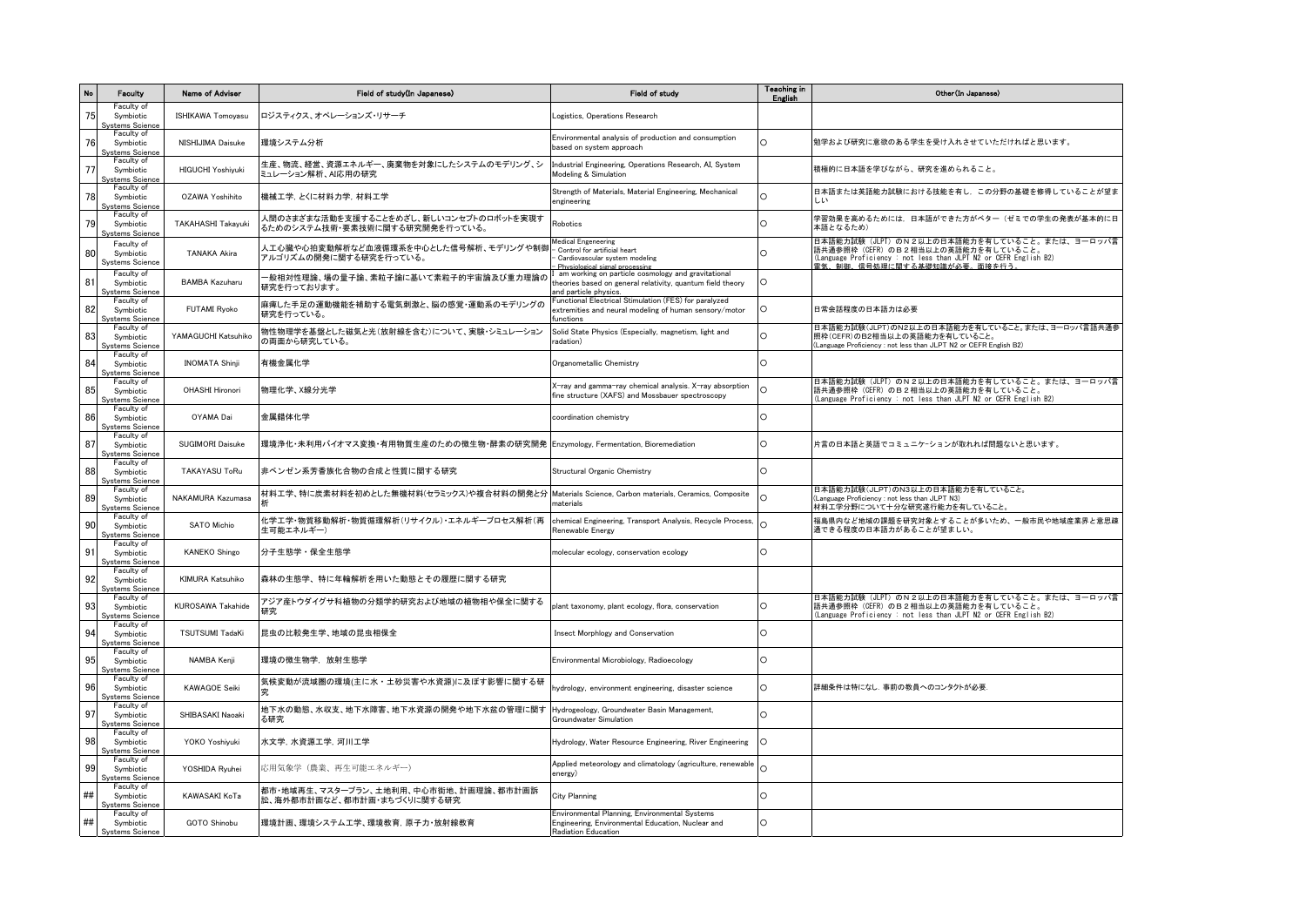| No | Faculty                                            | Name of Adviser          | Field of study(In Japanese)                                                     | Field of study                                                                                                                            | <b>Teaching in</b><br>English | Other (In Japanese)                                                                                                                                                                      |
|----|----------------------------------------------------|--------------------------|---------------------------------------------------------------------------------|-------------------------------------------------------------------------------------------------------------------------------------------|-------------------------------|------------------------------------------------------------------------------------------------------------------------------------------------------------------------------------------|
| 75 | Faculty of<br>Symbiotic<br>Systems Science         | ISHIKAWA Tomoyasu        | ロジスティクス、オペレーションズ・リサーチ                                                           | Logistics, Operations Research                                                                                                            |                               |                                                                                                                                                                                          |
| 76 | Faculty of<br>Symbiotic<br><b>Systems Science</b>  | NISHIJIMA Daisuke        | 環境システム分析                                                                        | Environmental analysis of production and consumption<br>based on system approach                                                          | $\cap$                        | 勉学および研究に意欲のある学生を受け入れさせていただければと思います。                                                                                                                                                      |
| 77 | Faculty of<br>Symbiotic<br><b>Systems Science</b>  | HIGUCHI Yoshiyuki        | 生産、物流、経営、資源エネルギー、廃棄物を対象にしたシステムのモデリング、シ<br>ミュレーション解析、AI応用の研究                     | Industrial Engineering, Operations Research, AI, System<br>Modeling & Simulation                                                          |                               | 積極的に日本語を学びながら、研究を進められること。                                                                                                                                                                |
| 78 | Faculty of<br>Symbiotic<br><b>Systems Science</b>  | OZAWA Yoshihito          | 機械工学, とくに材料力学, 材料工学                                                             | Strength of Materials, Material Engineering, Mechanical<br>engineering                                                                    | C                             | 日本語または英語能力試験における技能を有し、この分野の基礎を修得していることが望ま                                                                                                                                                |
| 79 | Faculty of<br>Symbiotic<br><b>Systems Science</b>  | TAKAHASHI Takayuki       | 人間のさまざまな活動を支援することをめざし、新しいコンセプトのロボットを実現す<br>るためのシステム技術・要素技術に関する研究開発を行っている。       | Robotics                                                                                                                                  |                               | 学習効果を高めるためには,日本語ができた方がベター(ゼミでの学生の発表が基本的に日<br>本語となるため)                                                                                                                                    |
| 80 | Faculty of<br>Symbiotic<br><b>Systems Science</b>  | <b>TANAKA Akira</b>      | 人工心臓や心拍変動解析など血液循環系を中心とした信号解析、モデリングや制御<br>アルゴリズムの開発に関する研究を行っている。                 | <b>Medical Engeneering</b><br>Control for artificial heart<br>Cardiovascular system modeling<br>Physiological signal processing           | $\Omega$                      | 日本語能力試験 (JLPT) のN2以上の日本語能力を有していること。または、ヨーロッパ言<br>語共通参照枠 (CEFR) のB2相当以上の英語能力を有していること。<br>(Language Proficiency : not less than JLPT N2 or CEFR English B2)<br>雷気 制御 信号処理に関する其礎知識が必要、面接を行う |
| 81 | Faculty of<br>Symbiotic<br><b>Systems Science</b>  | <b>BAMBA Kazuharu</b>    | - 般相対性理論、場の量子論、素粒子論に基いて素粒子的宇宙論及び重力理論の<br>研究を行っております。                            | am working on particle cosmology and gravitational<br>theories based on general relativity, quantum field theory<br>and particle physics. | $\circ$                       |                                                                                                                                                                                          |
| 82 | Faculty of<br>Symbiotic<br><b>Systems Science</b>  | <b>FUTAMI Ryoko</b>      | 麻痺した手足の運動機能を補助する電気刺激と、脳の感覚・運動系のモデリングの<br>研究を行っている。                              | Functional Electrical Stimulation (FES) for paralyzed<br>extremities and neural modeling of human sensory/motor<br>unction                | O                             | 日常会話程度の日本語力は必要                                                                                                                                                                           |
| 83 | Faculty of<br>Symbiotic<br><b>Systems Science</b>  | YAMAGUCHI Katsuhiko      | 物性物理学を基盤とした磁気と光(放射線を含む)について、実験・シミュレーション<br>の両面から研究している。                         | Solid State Physics (Especially, magnetism, light and<br>radation)                                                                        | ∩                             | 日本語能力試験(JLPT)のN2以上の日本語能力を有していること。または、ヨーロッパ言語共通参<br>照枠(CEFR)のB2相当以上の英語能力を有していること。<br>Language Proficiency : not less than JLPT N2 or CEFR English B2)                                     |
| 84 | Faculty of<br>Symbiotic<br><u>Systems Science</u>  | <b>INOMATA Shinji</b>    | 有機金属化学                                                                          | Organometallic Chemistry                                                                                                                  | $\cap$                        |                                                                                                                                                                                          |
| 85 | Faculty of<br>Symbiotic<br>Svstems Science         | OHASHI Hironori          | 物理化学、X線分光学                                                                      | X-ray and gamma-ray chemical analysis. X-ray absorption<br>fine structure (XAFS) and Mossbauer spectroscopy                               | C                             | 日本語能力試験 (JLPT) のN2以上の日本語能力を有していること。または、ヨーロッパ言<br>語共通参照枠 (CEFR) のB2相当以上の英語能力を有していること。<br>(Language Proficiency : not less than JLPT N2 or CEFR English B2)                                |
| 86 | Faculty of<br>Symbiotic<br><b>Systems Science</b>  | OYAMA Dai                | 金属錯体化学                                                                          | coordination chemistry                                                                                                                    | O                             |                                                                                                                                                                                          |
| 87 | Faculty of<br>Symbiotic<br><b>Systems Science</b>  | SUGIMORI Daisuke         | 環境浄化・未利用バイオマス変換・有用物質生産のための微生物・酵素の研究開発  Enzymology, Fermentation, Bioremediation |                                                                                                                                           | $\Omega$                      | 片言の日本語と英語でコミュニケーションが取れれば問題ないと思います。                                                                                                                                                       |
| 88 | Faculty of<br>Symbiotic<br>Systems Science         | <b>TAKAYASU ToRu</b>     | 非ベンゼン系芳香族化合物の合成と性質に関する研究                                                        | Structural Organic Chemistry                                                                                                              | $\Omega$                      |                                                                                                                                                                                          |
| 89 | Faculty of<br>Symbiotic<br><b>Systems Science</b>  | <b>NAKAMURA Kazumasa</b> | 材料工学、特に炭素材料を初めとした無機材料(セラミックス)や複合材料の開発と分                                         | Materials Science, Carbon materials, Ceramics, Composite<br>naterials                                                                     | $\cap$                        | 日本語能力試験(JLPT)のN3以上の日本語能力を有していること。<br>(Language Proficiency: not less than JLPT N3)<br>材料工学分野について十分な研究遂行能力を有していること。                                                                       |
| 90 | Faculty of<br>Symbiotic<br><b>Systems Science</b>  | <b>SATO Michio</b>       | 化学工学・物質移動解析・物質循環解析(リサイクル)・エネルギープロセス解析(再<br>生可能エネルギー)                            | chemical Engineering, Transport Analysis, Recycle Process,<br>Renewable Energy                                                            |                               | 福島県内など地域の課題を研究対象とすることが多いため、一般市民や地域産業界と意思疎<br>通できる程度の日本語力があることが望ましい。                                                                                                                      |
| 91 | Faculty of<br>Symbiotic<br><u> Systems Science</u> | <b>KANEKO Shingo</b>     | 分子生態学·保全生態学                                                                     | molecular ecology, conservation ecology                                                                                                   | $\circ$                       |                                                                                                                                                                                          |
| 92 | Faculty of<br>Symbiotic<br><b>Systems Science</b>  | KIMURA Katsuhiko         | 森林の生態学、特に年輪解析を用いた動態とその履歴に関する研究                                                  |                                                                                                                                           |                               |                                                                                                                                                                                          |
| 93 | Faculty of<br>Symbiotic<br>Systems Science         | <b>KUROSAWA Takahide</b> | アジア産トウダイグサ科植物の分類学的研究および地域の植物相や保全に関する<br>研究                                      | plant taxonomy, plant ecology, flora, conservation                                                                                        | O                             | 日本語能力試験(JLPT)のN2以上の日本語能力を有していること。または、ヨーロッパ言<br>語共通参照枠(CEFR)のB2相当以上の英語能力を有していること。<br>(Language Proficiency : not less than JLPT N2 or CEFR English B2)                                    |
| 94 | Faculty of<br>Symbiotic<br><b>Systems Science</b>  | <b>TSUTSUMI TadaKi</b>   | 昆虫の比較発生学、地域の昆虫相保全                                                               | Insect Morphlogy and Conservation                                                                                                         | O                             |                                                                                                                                                                                          |
| 95 | Faculty of<br>Symbiotic<br><u> Systems Science</u> | NAMBA Kenji              | 環境の微生物学. 放射生態学                                                                  | Environmental Microbiology, Radioecology                                                                                                  | $\circ$                       |                                                                                                                                                                                          |
| 96 | Faculty of<br>Symbiotic<br><b>Systems Science</b>  | <b>KAWAGOE Seiki</b>     | 気候変動が流域圏の環境(主に水・土砂災害や水資源)に及ぼす影響に関する研                                            | hydrology, environment engineering, disaster science                                                                                      | C                             | 詳細条件は特になし、事前の教員へのコンタクトが必要                                                                                                                                                                |
| 97 | Faculty of<br>Symbiotic<br>Systems Science         | SHIBASAKI Naoaki         | 地下水の動態、水収支、地下水障害、地下水資源の開発や地下水盆の管理に関す<br>る研究                                     | Hydrogeology, Groundwater Basin Management,<br>Groundwater Simulation                                                                     | $\Omega$                      |                                                                                                                                                                                          |
| 98 | Faculty of<br>Symbiotic<br>Systems Science         | YOKO Yoshiyuki           | 水文学, 水資源工学, 河川工学                                                                | Hydrology, Water Resource Engineering, River Engineering                                                                                  | ∩                             |                                                                                                                                                                                          |
| 99 | Faculty of<br>Symbiotic<br><u>Systems Science</u>  | YOSHIDA Ryuhei           | 応用気象学(農業、再生可能エネルギー)                                                             | Applied meteorology and climatology (agriculture, renewable<br>energy)                                                                    | $\cap$                        |                                                                                                                                                                                          |
| ## | Faculty of<br>Symbiotic<br><b>Systems Science</b>  | KAWASAKI KoTa            | 都市・地域再生、マスタープラン、土地利用、中心市街地、計画理論、都市計画訴<br>訟、海外都市計画など、都市計画・まちづくりに関する研究            | <b>City Planning</b>                                                                                                                      | $\cap$                        |                                                                                                                                                                                          |
| ## | Faculty of<br>Symbiotic<br><b>Systems Science</b>  | GOTO Shinobu             | 環境計画、環境システム工学、環境教育、原子力・放射線教育                                                    | Environmental Planning, Environmental Systems<br>Engineering, Environmental Education, Nuclear and<br>Radiation Education                 | $\circ$                       |                                                                                                                                                                                          |